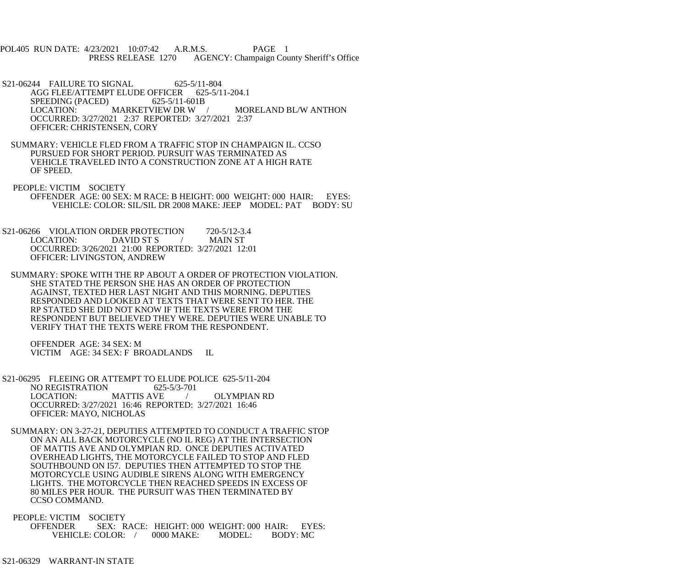- POL405 RUN DATE: 4/23/2021 10:07:42 A.R.M.S. PAGE 1 PRESS RELEASE 1270 AGENCY: Champaign County Sheriff's Office
- S21-06244 FAILURE TO SIGNAL 625-5/11-804 AGG FLEE/ATTEMPT ELUDE OFFICER 625-5/11-204.1 SPEEDING (PACED) 625-5/11-601B<br>LOCATION: MARKETVIEW DR W / LOCATION: MARKETVIEW DR W / MORELAND BL/W ANTHON OCCURRED: 3/27/2021 2:37 REPORTED: 3/27/2021 2:37 OFFICER: CHRISTENSEN, CORY
- SUMMARY: VEHICLE FLED FROM A TRAFFIC STOP IN CHAMPAIGN IL. CCSO PURSUED FOR SHORT PERIOD. PURSUIT WAS TERMINATED AS VEHICLE TRAVELED INTO A CONSTRUCTION ZONE AT A HIGH RATE OF SPEED.
- PEOPLE: VICTIM SOCIETY OFFENDER AGE: 00 SEX: M RACE: B HEIGHT: 000 WEIGHT: 000 HAIR: EYES: VEHICLE: COLOR: SIL/SIL DR 2008 MAKE: JEEP MODEL: PAT BODY: SU
- S21-06266 VIOLATION ORDER PROTECTION 720-5/12-3.4 LOCATION: DAVID ST S / MAIN ST OCCURRED: 3/26/2021 21:00 REPORTED: 3/27/2021 12:01 OFFICER: LIVINGSTON, ANDREW
- SUMMARY: SPOKE WITH THE RP ABOUT A ORDER OF PROTECTION VIOLATION. SHE STATED THE PERSON SHE HAS AN ORDER OF PROTECTION AGAINST, TEXTED HER LAST NIGHT AND THIS MORNING. DEPUTIES RESPONDED AND LOOKED AT TEXTS THAT WERE SENT TO HER. THE RP STATED SHE DID NOT KNOW IF THE TEXTS WERE FROM THE RESPONDENT BUT BELIEVED THEY WERE. DEPUTIES WERE UNABLE TO VERIFY THAT THE TEXTS WERE FROM THE RESPONDENT.

 OFFENDER AGE: 34 SEX: M VICTIM AGE: 34 SEX: F BROADLANDS IL

- S21-06295 FLEEING OR ATTEMPT TO ELUDE POLICE 625-5/11-204<br>NO REGISTRATION 625-5/3-701 NO REGISTRATION LOCATION: MATTIS AVE / OLYMPIAN RD OCCURRED: 3/27/2021 16:46 REPORTED: 3/27/2021 16:46 OFFICER: MAYO, NICHOLAS
	- SUMMARY: ON 3-27-21, DEPUTIES ATTEMPTED TO CONDUCT A TRAFFIC STOP ON AN ALL BACK MOTORCYCLE (NO IL REG) AT THE INTERSECTION OF MATTIS AVE AND OLYMPIAN RD. ONCE DEPUTIES ACTIVATED OVERHEAD LIGHTS, THE MOTORCYCLE FAILED TO STOP AND FLED SOUTHBOUND ON I57. DEPUTIES THEN ATTEMPTED TO STOP THE MOTORCYCLE USING AUDIBLE SIRENS ALONG WITH EMERGENCY LIGHTS. THE MOTORCYCLE THEN REACHED SPEEDS IN EXCESS OF 80 MILES PER HOUR. THE PURSUIT WAS THEN TERMINATED BY CCSO COMMAND.
- PEOPLE: VICTIM SOCIETY OFFENDER SEX: RACE: HEIGHT: 000 WEIGHT: 000 HAIR: EYES: VEHICLE: COLOR: / 0000 MAKE: MODEL: BODY: MC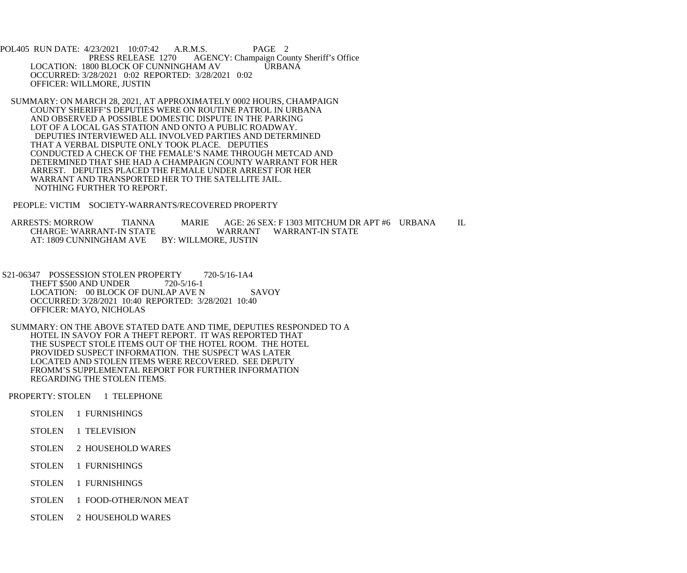POL405 RUN DATE: 4/23/2021 10:07:42 A.R.M.S. PAGE 2<br>PRESS RELEASE 1270 AGENCY: Champaign Cou AGENCY: Champaign County Sheriff's Office LOCATION: 1800 BLOCK OF CUNNINGHAM AV URBANA OCCURRED: 3/28/2021 0:02 REPORTED: 3/28/2021 0:02 OFFICER: WILLMORE, JUSTIN

 SUMMARY: ON MARCH 28, 2021, AT APPROXIMATELY 0002 HOURS, CHAMPAIGN COUNTY SHERIFF'S DEPUTIES WERE ON ROUTINE PATROL IN URBANA AND OBSERVED A POSSIBLE DOMESTIC DISPUTE IN THE PARKING LOT OF A LOCAL GAS STATION AND ONTO A PUBLIC ROADWAY. DEPUTIES INTERVIEWED ALL INVOLVED PARTIES AND DETERMINED THAT A VERBAL DISPUTE ONLY TOOK PLACE. DEPUTIES CONDUCTED A CHECK OF THE FEMALE'S NAME THROUGH METCAD AND DETERMINED THAT SHE HAD A CHAMPAIGN COUNTY WARRANT FOR HER ARREST. DEPUTIES PLACED THE FEMALE UNDER ARREST FOR HER WARRANT AND TRANSPORTED HER TO THE SATELLITE JAIL. NOTHING FURTHER TO REPORT.

PEOPLE: VICTIM SOCIETY-WARRANTS/RECOVERED PROPERTY

ARRESTS: MORROW TIANNA MARIE AGE: 26 SEX: F 1303 MITCHUM DR APT #6 URBANA IL CHARGE: WARRANT WARRANT WARRANT-IN STATE CHARGE: WARRANT-IN STATE AT: 1809 CUNNINGHAM AVE BY: WILLMORE, JUSTIN

- S21-06347 POSSESSION STOLEN PROPERTY 720-5/16-1A4 THEFT \$500 AND UNDER 720-5/16-1 LOCATION: 00 BLOCK OF DUNLAP AVE N SAVOY OCCURRED: 3/28/2021 10:40 REPORTED: 3/28/2021 10:40 OFFICER: MAYO, NICHOLAS
- SUMMARY: ON THE ABOVE STATED DATE AND TIME, DEPUTIES RESPONDED TO A HOTEL IN SAVOY FOR A THEFT REPORT. IT WAS REPORTED THAT THE SUSPECT STOLE ITEMS OUT OF THE HOTEL ROOM. THE HOTEL PROVIDED SUSPECT INFORMATION. THE SUSPECT WAS LATER LOCATED AND STOLEN ITEMS WERE RECOVERED. SEE DEPUTY FROMM'S SUPPLEMENTAL REPORT FOR FURTHER INFORMATION REGARDING THE STOLEN ITEMS.

PROPERTY: STOLEN 1 TELEPHONE

- STOLEN 1 FURNISHINGS
- STOLEN 1 TELEVISION
- STOLEN 2 HOUSEHOLD WARES
- STOLEN 1 FURNISHINGS
- STOLEN 1 FURNISHINGS
- STOLEN 1 FOOD-OTHER/NON MEAT
- STOLEN 2 HOUSEHOLD WARES